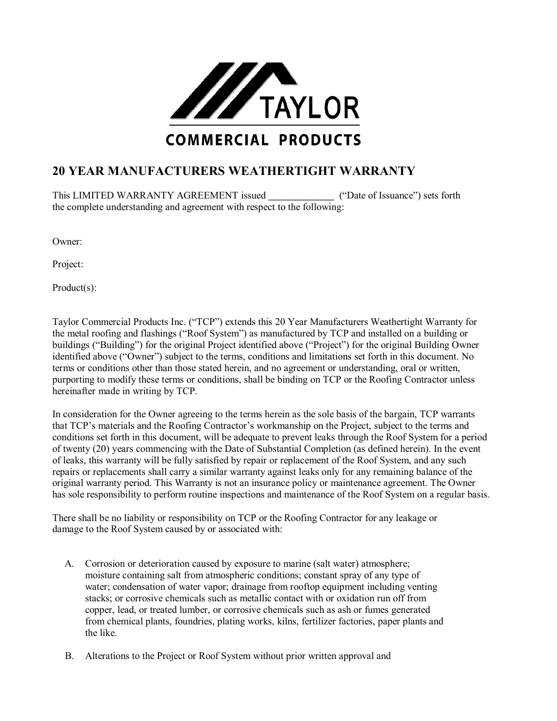

## **20 YEAR MANUFACTURERS WEATHERTIGHT WARRANTY**

This LIMITED WARRANTY AGREEMENT issued ("Date of Issuance") sets forth the complete understanding and agreement with respect to the following:

Owner:

Project:

Product(s):

Taylor Commercial Products Inc. ("TCP") extends this 20 Year Manufacturers Weathertight Warranty for the metal roofing and flashings ("Roof System") as manufactured by TCP and installed on a building or buildings ("Building") for the original Project identified above ("Project") for the original Building Owner identified above ("Owner") subject to the terms, conditions and limitations set forth in this document. No terms or conditions other than those stated herein, and no agreement or understanding, oral or written, purporting to modify these terms or conditions, shall be binding on TCP or the Roofing Contractor unless hereinafter made in writing by TCP.

In consideration for the Owner agreeing to the terms herein as the sole basis of the bargain, TCP warrants that TCP's materials and the Roofing Contractor's workmanship on the Project, subject to the terms and conditions set forth in this document, will be adequate to prevent leaks through the Roof System for a period of twenty (20) years commencing with the Date of Substantial Completion (as defined herein). In the event of leaks, this warranty will be fully satisfied by repair or replacement of the Roof System, and any such repairs or replacements shall carry a similar warranty against leaks only for any remaining balance of the original warranty period. This Warranty is not an insurance policy or maintenance agreement. The Owner has sole responsibility to perform routine inspections and maintenance of the Roof System on a regular basis.

There shall be no liability or responsibility on TCP or the Roofing Contractor for any leakage or damage to the Roof System caused by or associated with:

- A. Corrosion or deterioration caused by exposure to marine (salt water) atmosphere; moisture containing salt from atmospheric conditions; constant spray of any type of water; condensation of water vapor; drainage from rooftop equipment including venting stacks; or corrosive chemicals such as metallic contact with or oxidation run off from copper, lead, or treated lumber, or corrosive chemicals such as ash or fumes generated from chemical plants, foundries, plating works, kilns, fertilizer factories, paper plants and the like.
- B. Alterations to the Project or Roof System without prior written approval and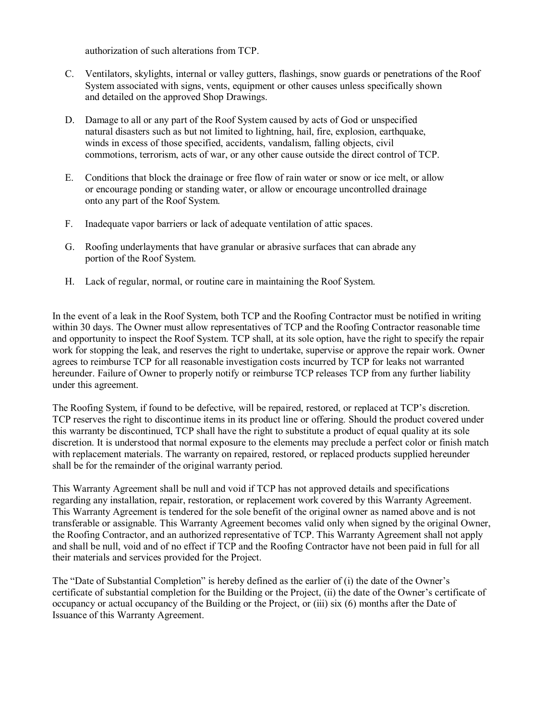authorization of such alterations from TCP.

- C. Ventilators, skylights, internal or valley gutters, flashings, snow guards or penetrations of the Roof System associated with signs, vents, equipment or other causes unless specifically shown and detailed on the approved Shop Drawings.
- D. Damage to all or any part of the Roof System caused by acts of God or unspecified natural disasters such as but not limited to lightning, hail, fire, explosion, earthquake, winds in excess of those specified, accidents, vandalism, falling objects, civil commotions, terrorism, acts of war, or any other cause outside the direct control of TCP.
- E. Conditions that block the drainage or free flow of rain water or snow or ice melt, or allow or encourage ponding or standing water, or allow or encourage uncontrolled drainage onto any part of the Roof System.
- F. Inadequate vapor barriers or lack of adequate ventilation of attic spaces.
- G. Roofing underlayments that have granular or abrasive surfaces that can abrade any portion of the Roof System.
- H. Lack of regular, normal, or routine care in maintaining the Roof System.

In the event of a leak in the Roof System, both TCP and the Roofing Contractor must be notified in writing within 30 days. The Owner must allow representatives of TCP and the Roofing Contractor reasonable time and opportunity to inspect the Roof System. TCP shall, at its sole option, have the right to specify the repair work for stopping the leak, and reserves the right to undertake, supervise or approve the repair work. Owner agrees to reimburse TCP for all reasonable investigation costs incurred by TCP for leaks not warranted hereunder. Failure of Owner to properly notify or reimburse TCP releases TCP from any further liability under this agreement.

The Roofing System, if found to be defective, will be repaired, restored, or replaced at TCP's discretion. TCP reserves the right to discontinue items in its product line or offering. Should the product covered under this warranty be discontinued, TCP shall have the right to substitute a product of equal quality at its sole discretion. It is understood that normal exposure to the elements may preclude a perfect color or finish match with replacement materials. The warranty on repaired, restored, or replaced products supplied hereunder shall be for the remainder of the original warranty period.

This Warranty Agreement shall be null and void if TCP has not approved details and specifications regarding any installation, repair, restoration, or replacement work covered by this Warranty Agreement. This Warranty Agreement is tendered for the sole benefit of the original owner as named above and is not transferable or assignable. This Warranty Agreement becomes valid only when signed by the original Owner, the Roofing Contractor, and an authorized representative of TCP. This Warranty Agreement shall not apply and shall be null, void and of no effect if TCP and the Roofing Contractor have not been paid in full for all their materials and services provided for the Project.

The "Date of Substantial Completion" is hereby defined as the earlier of (i) the date of the Owner's certificate of substantial completion for the Building or the Project, (ii) the date of the Owner's certificate of occupancy or actual occupancy of the Building or the Project, or (iii) six (6) months after the Date of Issuance of this Warranty Agreement.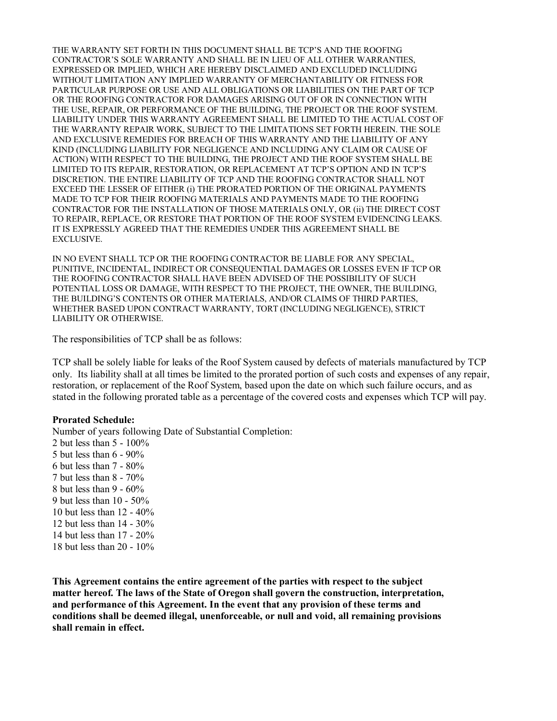THE WARRANTY SET FORTH IN THIS DOCUMENT SHALL BE TCP'S AND THE ROOFING CONTRACTOR'S SOLE WARRANTY AND SHALL BE IN LIEU OF ALL OTHER WARRANTIES, EXPRESSED OR IMPLIED, WHICH ARE HEREBY DISCLAIMED AND EXCLUDED INCLUDING WITHOUT LIMITATION ANY IMPLIED WARRANTY OF MERCHANTABILITY OR FITNESS FOR PARTICULAR PURPOSE OR USE AND ALL OBLIGATIONS OR LIABILITIES ON THE PART OF TCP OR THE ROOFING CONTRACTOR FOR DAMAGES ARISING OUT OF OR IN CONNECTION WITH THE USE, REPAIR, OR PERFORMANCE OF THE BUILDING, THE PROJECT OR THE ROOF SYSTEM. LIABILITY UNDER THIS WARRANTY AGREEMENT SHALL BE LIMITED TO THE ACTUAL COST OF THE WARRANTY REPAIR WORK, SUBJECT TO THE LIMITATIONS SET FORTH HEREIN. THE SOLE AND EXCLUSIVE REMEDIES FOR BREACH OF THIS WARRANTY AND THE LIABILITY OF ANY KIND (INCLUDING LIABILITY FOR NEGLIGENCE AND INCLUDING ANY CLAIM OR CAUSE OF ACTION) WITH RESPECT TO THE BUILDING, THE PROJECT AND THE ROOF SYSTEM SHALL BE LIMITED TO ITS REPAIR, RESTORATION, OR REPLACEMENT AT TCP'S OPTION AND IN TCP'S DISCRETION. THE ENTIRE LIABILITY OF TCP AND THE ROOFING CONTRACTOR SHALL NOT EXCEED THE LESSER OF EITHER (i) THE PRORATED PORTION OF THE ORIGINAL PAYMENTS MADE TO TCP FOR THEIR ROOFING MATERIALS AND PAYMENTS MADE TO THE ROOFING CONTRACTOR FOR THE INSTALLATION OF THOSE MATERIALS ONLY, OR (ii) THE DIRECT COST TO REPAIR, REPLACE, OR RESTORE THAT PORTION OF THE ROOF SYSTEM EVIDENCING LEAKS. IT IS EXPRESSLY AGREED THAT THE REMEDIES UNDER THIS AGREEMENT SHALL BE EXCLUSIVE.

IN NO EVENT SHALL TCP OR THE ROOFING CONTRACTOR BE LIABLE FOR ANY SPECIAL, PUNITIVE, INCIDENTAL, INDIRECT OR CONSEQUENTIAL DAMAGES OR LOSSES EVEN IF TCP OR THE ROOFING CONTRACTOR SHALL HAVE BEEN ADVISED OF THE POSSIBILITY OF SUCH POTENTIAL LOSS OR DAMAGE, WITH RESPECT TO THE PROJECT, THE OWNER, THE BUILDING, THE BUILDING'S CONTENTS OR OTHER MATERIALS, AND/OR CLAIMS OF THIRD PARTIES, WHETHER BASED UPON CONTRACT WARRANTY, TORT (INCLUDING NEGLIGENCE), STRICT LIABILITY OR OTHERWISE.

The responsibilities of TCP shall be as follows:

TCP shall be solely liable for leaks of the Roof System caused by defects of materials manufactured by TCP only. Its liability shall at all times be limited to the prorated portion of such costs and expenses of any repair, restoration, or replacement of the Roof System, based upon the date on which such failure occurs, and as stated in the following prorated table as a percentage of the covered costs and expenses which TCP will pay.

## **Prorated Schedule:**

Number of years following Date of Substantial Completion: 2 but less than 5 - 100% 5 but less than 6 - 90% 6 but less than 7 - 80% 7 but less than 8 - 70% 8 but less than  $9 - 60\%$ 9 but less than 10 - 50% 10 but less than 12 - 40% 12 but less than 14 - 30% 14 but less than 17 - 20% 18 but less than 20 - 10%

**This Agreement contains the entire agreement of the parties with respect to the subject matter hereof. The laws of the State of Oregon shall govern the construction, interpretation, and performance of this Agreement. In the event that any provision of these terms and conditions shall be deemed illegal, unenforceable, or null and void, all remaining provisions shall remain in effect.**